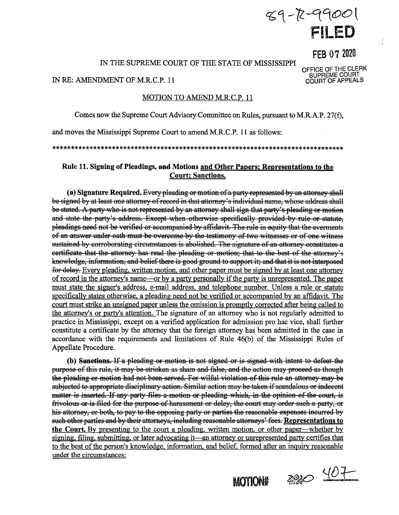$89 - 12 - 9900$ FILED

FEB 07 2020

OFFICE OF THE CLERK<br>SUPREME COURT<br>COURT OF APPEALS

### IN THE SUPREME COURT OF THE STATE OF MISSISSIPPI

IN RE: AMENDMENT OF M.R.C.P. 11

## MOTION TO AMEND M.R.C.P. 11

Comes now the Supreme Court Advisory Committee on Rules, pursuant to M.R.A.P. 27(f),

and moves the Mississippi Supreme Court to amend M.R.C.P. 11 as follows:

## Rule 11. Signing of Pleadings, and Motions and Other Papers; Representations to the **Court: Sanctions.**

(a) Signature Required. Every pleading or motion of a party represented by an attorney shall be signed by at least one attorney of record in that attorney's individual name, whose address shall be stated. A party who is not represented by an attorney shall sign that party's pleading or motion and state the party's address. Except when otherwise specifically provided by rule or statute, pleadings need not be verified or accompanied by affidavit. The rule in equity that the averments of an answer under oath must be overcome by the testimony of two witnesses or of one witness sustained by corroborating circumstances is abolished. The signature of an attorney constitutes a certificate that the attorney has read the pleading or motion; that to the best of the attorney's knowledge, information, and belief there is good ground to support it; and that it is not interposed for delay. Every pleading, written motion, and other paper must be signed by at least one attorney of record in the attorney's name—or by a party personally if the party is unrepresented. The paper must state the signer's address, e-mail address, and telephone number. Unless a rule or statute specifically states otherwise, a pleading need not be verified or accompanied by an affidavit. The court must strike an unsigned paper unless the omission is promptly corrected after being called to the attorney's or party's attention. The signature of an attorney who is not regularly admitted to practice in Mississippi, except on a verified application for admission pro hac vice, shall further constitute a certificate by the attorney that the foreign attorney has been admitted in the case in accordance with the requirements and limitations of Rule 46(b) of the Mississippi Rules of Appellate Procedure.

(b) Sanctions. If a pleading or motion is not signed or is signed with intent to defeat the purpose of this rule, it may be stricken as sham and false, and the action may proceed as though the pleading or motion had not been served. For wilful violation of this rule an attorney may be subjected to appropriate disciplinary action. Similar action may be taken if scandalous or indecent matter is inserted. If any party files a motion or pleading which, in the opinion of the court, is frivolous or is filed for the purpose of harassment or delay, the court may order such a party, or his attorney, or both, to pay to the opposing party or parties the reasonable expenses incurred by such other parties and by their attorneys, including reasonable attorneys' fees. Representations to the Court. By presenting to the court a pleading, written motion, or other paper—whether by signing, filing, submitting, or later advocating it—an attorney or unrepresented party certifies that to the best of the person's knowledge, information, and belief, formed after an inquiry reasonable under the circumstances:

**MOTION#** 

2820 407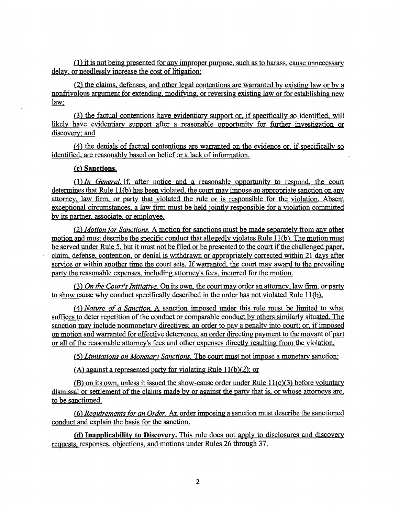(1) it is not being presented for any improper purpose, such as to harass, cause unnecessary delay, or needlessly increase the cost of litigation:

(2) the claims, defenses, and other legal contentions are warranted by existing law or by a nonfrivolous argument for extending. modifying, or reversing existing law or for establishing new law:

(3) the factual contentions have evidentiary support or. if specifically so identified. will likely have evidentiary support after a reasonable opportunity for further investigation or discovery; and

 $(4)$  the denials of factual contentions are warranted on the evidence or, if specifically so identified. are reasonably based on belief or a lack of information.

#### **(c) Sanctions.**

 $(1)$  *In General.* If, after notice and a reasonable opportunity to respond, the court determines that Rule 11(b) has been violated, the court may impose an appropriate sanction on any attorney, law firm. or party that violated the rule or is responsible for the violation. Absent exceptional circumstances, a law firm must be held jointly responsible for a violation committed by its partner. associate, or employee.

(2) *Motion for Sanctions.* A motion for sanctions must be made separately from any other motion and must describe the specific conduct that allegedly violates Rule 11(b). The motion must be served under Rule 5, but it must not be filed or be presented to the court if the challenged paper, claim, defense, contention, or denial is withdrawn or appropriately corrected within 21 days after service or within another time the court sets. If warranted, the court may award to the prevailing party the reasonable expenses, including attorney's fees, incurred for the motion.

(3) *On the Court's Initiative.* On its own, the court may order an attorney, law firm. or party to show cause why conduct specifically described in the order has not violated Rule 1 l(b).

( 4) *Nature of a Sanction.* A sanction imposed under this rule must be limited to what suffices to deter repetition of the conduct or comparable conduct by others similarly situated. The sanction may include nonmonetary directives: an order to pay a penalty into court: or, if imposed on motion and warranted for effective deterrence, an order directing payment to the movant of part or all of the reasonable attorney's fees and other expenses directly resulting from the violation.

(5) *Limitations on Monetary Sanctions.* The court must not impose a monetary sanction:

 $(A)$  against a represented party for violating Rule 11(b)(2); or

(B) on its own, unless it issued the show-cause order under Rule 1 l(c)(3) before voluntary dismissal or settlement of the claims made by or against the party that is. or whose attorneys are, to be sanctioned.

(6) *Requirements for an Order.* An order imposing a sanction must describe the sanctioned conduct and explain the basis for the sanction.

**(d) Inapplicability to Discovery.** This rule does not apply to disclosures and discovery: requests, responses, objections, and motions under Rules 26 through 37.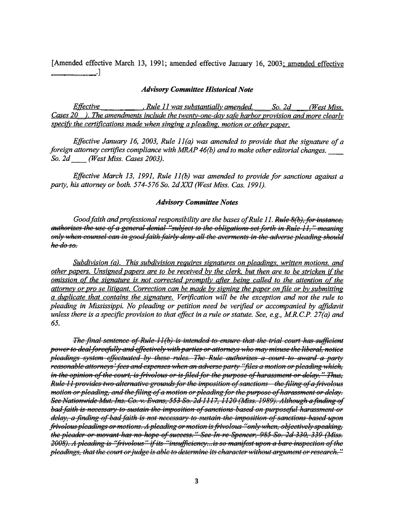[Amended effective March 13, 1991; amended effective January 16, 2003: amended effective =~=~--]

#### *Advisory Committee Historical Note*

*Effective* • *Rule 11 was substantially amended. So. 2d (West Miss. Cases 20 ). The amendments include the twenty-one-day safe harbor provision and more clearly specify the certifications made when singing a pleading. motion or other paper.* 

*Effective January 16, 2003, Rule 11(a) was amended to provide that the signature of a foreign attorney certifies compliance with MRAP 46(b) and to make other editorial changes. So. 2d (West Miss. Cases 2003).* 

*Effective March 13, 1991, Rule ll(b) was amended to provide for sanctions against a party, his attorney or both. 574-576 So. 2dXXI (West Miss. Cas. 1991).* 

## *Advisory Committee Notes*

*Good faith and professional responsibility are the bases of Rule 11, <del>Rule 8(b), for instance,</del> amhe,<izes the Wie &fa general denial "su'hjeet te the ehligatierts set fel"lh in Rule 11," meaning enly when counsel can in good faith fairly deny all the averments in the adverse pleading should he de se.* 

*Subdivision (a). This subdivision requires signatures on pleadings, written motions, and other papers. Unsigned papers are to be received by the clerk. but then are to be stricken if the omission of the signature is not corrected promptly after being called to the attention of the attorney or pro se litigant. Correction can be made by signing the paper on file or by submitting a duplicate that contains the signature. Verification will be the exception and not the rule to pleading in Mississippi. No pleading or petition need be verified or accompanied by affidavit unless there is a specific provision to that effect in a rule or statute. See, e.g., MR.C.P. 27(a) and 65.* 

*The final sentence of Rule 11(b) is intended to ensure that the trial court has sufficient power to deal forcefully and effectively with parties or attorneys who may misuse the liberal, notice pleadings system effectuated by these rules. The Rule authorizes a court to award a party reasonable attorneys' fees and expenses when an adverse party "files a motion or pleading which, in the opinion of the court, is frivolous or is filed for the purpose of harassment or delay." Thus, Rule 11 provides two alternative grounds for the imposition of sanetions—the filing of a frivolous motion or pleading, and the filing of a motion or pleading for the purpose of harassment or delay. See Nationwide Mut. Ins. Co. v. Evans, 553 So. 2d 1117, 1120 (Miss. 1989). Although a finding of had faith is necessary to sustain the imposition of sanctions based on purposeful harassment or delay, a finding of bad faith is not necessary to sustain the imposition of sanctions based upon frivolous pleadings or motions. A pleading or motion is frivolous "only when, objectively speaking, the pleader or movant has no hope of success." See In re Spencer, 985 So. 2d 330, 339 (Miss. 2008). A pleading is "frivolous" if its "insufficiency... is so manifest upon a bare inspection of the pleadings, that= the eeur-t erjwlge is able te detemiine its ehtfl-aeter witheut tfl'gume,it er resetfl=eh.* "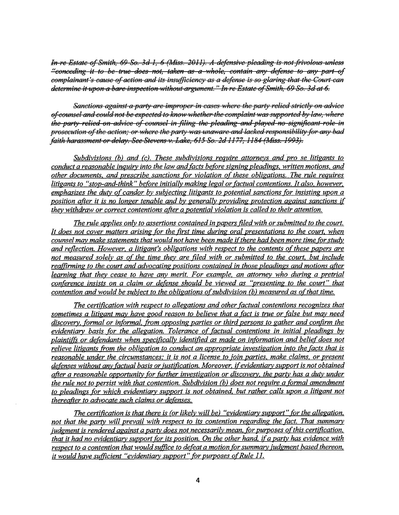In re Estate of Smith, 69 So. 3d 1, 6 (Miss. 2011). A defensive pleading is not frivolous unless <del>"conceding it to be true does not, taken as a whole, contain any defense to any part of</del> complainant's cause of action and its insufficiency as a defense is so glaring that the Court can determine it upon a bare inspection without argument." In re Estate of Smith, 69 So, 3d at 6.

Sanctions against a party are improper in cases where the party relied strictly on advice of counsel and could not be expected to know whether the complaint was supported by law, where the party relied on advice of counsel in filing the pleading and played no significant role in prosecution of the action; or where the party was unaware and lacked responsibility for any bad faith harassment or delay. See Stevens v. Lake, 615 So. 2d 1177, 1184 (Miss. 1993).

Subdivisions (b) and (c). These subdivisions require attorneys and pro se litigants to conduct a reasonable inquiry into the law and facts before signing pleadings, written motions, and other documents, and prescribe sanctions for violation of these obligations. The rule requires litigants to "stop-and-think" before initially making legal or factual contentions. It also, however, emphasizes the duty of candor by subjecting litigants to potential sanctions for insisting upon a position after it is no longer tenable and by generally providing protection against sanctions if they withdraw or correct contentions after a potential violation is called to their attention.

The rule applies only to assertions contained in papers filed with or submitted to the court. It does not cover matters arising for the first time during oral presentations to the court, when counsel may make statements that would not have been made if there had been more time for study and reflection. However, a litigant's obligations with respect to the contents of these papers are not measured solely as of the time they are filed with or submitted to the court, but include reaffirming to the court and advocating positions contained in those pleadings and motions after learning that they cease to have any merit. For example, an attorney who during a pretrial conference insists on a claim or defense should be viewed as "presenting to the court" that contention and would be subject to the obligations of subdivision  $(b)$  measured as of that time.

The certification with respect to allegations and other factual contentions recognizes that sometimes a litigant may have good reason to believe that a fact is true or false but may need discovery, formal or informal, from opposing parties or third persons to gather and confirm the evidentiary basis for the allegation. Tolerance of factual contentions in initial pleadings by plaintiffs or defendants when specifically identified as made on information and belief does not relieve litigants from the obligation to conduct an appropriate investigation into the facts that is reasonable under the circumstances; it is not a license to join parties, make claims, or present defenses without any factual basis or justification. Moreover, if evidentiary support is not obtained after a reasonable opportunity for further investigation or discovery, the party has a duty under the rule not to persist with that contention. Subdivision  $(b)$  does not require a formal amendment to pleadings for which evidentiary support is not obtained, but rather calls upon a litigant not thereafter to advocate such claims or defenses.

The certification is that there is (or likely will be) "evidentiary support" for the allegation, not that the party will prevail with respect to its contention regarding the fact. That summary judgment is rendered against a party does not necessarily mean, for purposes of this certification, that it had no evidentiary support for its position. On the other hand, if a party has evidence with respect to a contention that would suffice to defeat a motion for summary judgment based thereon, it would have sufficient "evidentiary support" for purposes of Rule 11.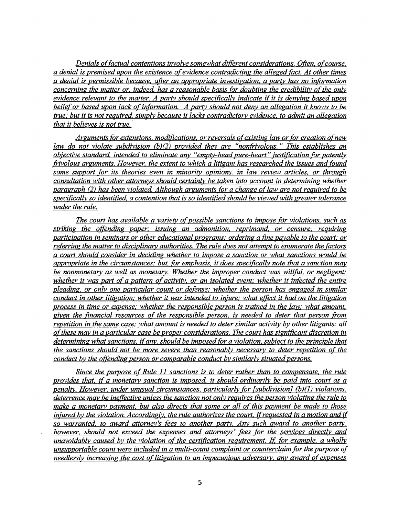*Denials of factual contentions involve somewhat different considerations. Often, of course, a denial is premised upon the existence of evidence contradicting the alleged fact. At other times a denial is permissible because. after an appropriate investigation. a party has no information concerning the matter or. indeed. has a reasonable basis for doubting the credibility of the only evidence relevant to the matter. A party should specifically indicate if it is denying based upon belief or based upon lack of information. A party should not deny an allegation it knows to be true; but it is not required, simply because it lacks contradictory evidence, to admit an allegation that it believes is not true.* 

*Arguments for extensions. modifications. or reversals of existing law or for creation of new law do not violate subdivision (b)(2) provided they are "nonfrivolous." This establishes an obiective standard. intended to eliminate any "empty-head pure-heart" iustification for patently frivolous arguments. However. the extent to which a litigant has researched the issues and found*  some support for its theories even in minority opinions, in law review articles, or through *consultation with other attorneys should certainly be taken into account in determining whether paragraph (2) has been violated. Although arguments for a change of law are not required to be specifically so identified a contention that is so identified should be viewed with greater tolerance under the rule.* 

*The court has available a variety of possible sanctions to impose for violations. such as striking the offending paper: issuing an admonition. reprimand. or censure: requiring participation in seminars or other educational programs: ordering a fine payable to the court: or referring the matter to disciplinary authorities. The rule does not attempt to enumerate the factors a court should consider in deciding whether to impose a sanction or what sanctions would be appropriate in the circumstances; but, for emphasis, it does specifically note that a sanction may be nonmonetary as well as monetary. Whether the improper conduct was willful. or negligent: whether it was part of a pattern of activity. or an isolated event: whether it infected the entire pleading. or only one particular count or defense: whether the person has engaged in similar conduct in other litigation: whether it was intended to iniure: what effect it had on the litigation process in time or expense: whether the responsible person is trained in the law: what amount. given the financial resources of the responsible person. is needed to deter that person from repetition in the same case: what amount is needed to deter similar activity by other litigants: all of these may in a particular case be proper considerations. The court has significant discretion in determining what sanctions. if any. should be imposed for a violation. subiect to the principle that the sanctions should not be more severe than reasonably necessary to deter repetition of the conduct by the offending person or comparable conduct by similarly situated persons.* 

*Since the purpose of Rule 11 sanctions is to deter rather than to compensate. the rule provides that. if a monetary sanction is imposed. it should ordinarily be paid into court as a penalty. However, under unusual circumstances, particularly for [subdivision] (b)(1) violations, deterrence may be ineffective unless the sanction not only requires the person violating the rule to make a monetary payment, but also directs that some or all of this payment be made to those iniured by the violation. Accordingly. the rule authorizes the court. ifrequested in a motion and if so warranted. to award attorney's fees to another party. Any such award to another party. however. should not exceed the expenses and attorneys' fees for the services directly and unavoidably caused by the violation of the certification requirement. If. for example. a wholly unsupportable count were included in a multi-count complaint or counterclaim for the purpose of needlessly increasing the cost of litigation to an impecunious adversary, any award of expenses*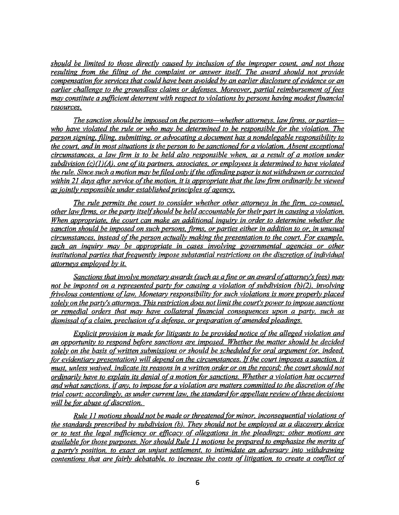*should be limited to those directly caused by inclusion of the improper count. and not those*  resulting from the filing of the complaint or answer itself. The award should not provide *compensation for services that could have been avoided by an earlier disclosure of evidence or an earlier challenge to the groundless claims or defenses. Moreover. partial reimbursement of fees may constitute a sufficient deterrent with respect to violations by persons having modest financial resources.* 

*The sanction should be imposed on the persons-whether attorneys. law finns. or parties*who have violated the rule or who may be determined to be responsible for the violation. The *person signing. filing. submitting. or advocating a document has a nondelegable responsibility to the court. and in most situations is the person to be sanctioned for a violation. Absent exceptional circumstances. a law finn is to be held also responsible when. as a result of a motion under*   $subdivision (c)(1)(A)$ , one of its partners, associates, or employees is determined to have violated *the rule. Since such a motion may be filed only if the offending paper is not withdrawn or corrected*  within 21 days after service of the motion, it is appropriate that the law firm ordinarily be viewed *as fointly responsible under established principles of agency.* 

*The rule pennits the court to consider whether other attorneys in the finn. co-counsel. other law finns. or the party itself should be held accountable for their part in causing a violation. When appropriate, the court can make an additional inquiry in order to determine whether the sanction should be imposed on such persons. finns. or parties either in addition to or. in unusual circumstances. instead of the person actually making the presentation to the court. For example. such an inquiry may be appropriate in cases involving governmental agencies or other institutional parties that frequently impose substantial restrictions on the discretion of individual attorneys employed by it.* 

*Sanctions that involve monetary awards (such as a fine or an award of attorney's fees) may not be imposed on a represented party for causing a violation of subdivision (b)(2), involving frivolous contentions oflaw. Monetary responsibility for such violations is more properly placed solely on the party's attorneys. This restriction does not limit the court's power to impose sanctions or remedial orders that may have collateral financial consequences upon a party. such as dismissal ofa claim. preclusion of a defense, or preparation of amended pleadings.* 

*Explicit provision is made for litigants to be provided notice of the alleged violation and* an opportunity to respond before sanctions are imposed. Whether the matter should be decided *solely on the basis of written submissions or should be scheduled for oral argument (or. indeed for evidentiary presentation) will depend on the circumstances. If the court imposes a sanction, it* must, unless waived, indicate its reasons in a written order or on the record; the court should not *ordinarily have to explain its denial ofa motion for sanctions. Whether a violation has occurred and what sanctions. if any. to impose for a violation are matters committed to the discretion of the trial court: accordingly, as under current law. the standard for appellate review of these decisions will be for abuse of discretion.* 

*Rule 11 motions should not be made or threatened for minor. inconsequential violations of the standards prescribed by subdivision (b). They should not be employed as a discovery device or to test the legal sufficiency or efficacy of allegations in the pleadings: other motions are available for those purposes. Nor should Rule 11 motions be prepared to emphasize the merits of a party's position. to exact an uniust settlement. to intimidate an adversary into withdrawing contentions that are fairly debatable. to increase the costs of litigation. to create a conflict of*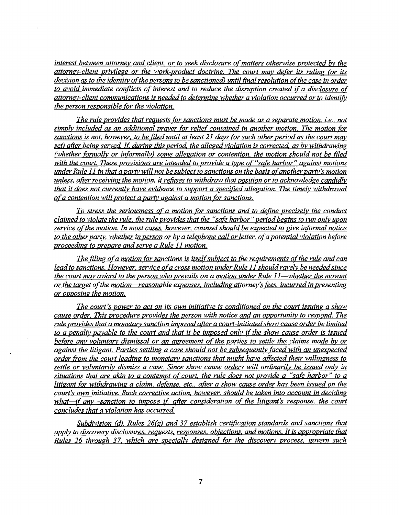*interest between attorney and client. or to seek disclosure of matters otherwise protected by the attorney-client privilege or the work-product doctrine. The court may defer its ruling (or its decision as to the identity of the persons to be sanctioned) until final resolution of the case in order to avoid immediate conflicts of interest and to reduce the disruption created if a disclosure of attorney-client communications is needed to determine whether a violation occurred or to identify the person responsible for the violation.* 

*The rule provides that requests for sanctions must be made as a separate motion, i.e., not simply included as an additional prayer for relief contained in another motion. The motion for sanctions is not. however. to be filed until at least 21 days (or such other period as the court may set) after being served If. during this period, the alleged violation is corrected. as by withdrawing (whether formally or informally) some allegation or contention. the motion should not be filed with the court. These provisions are intended to provide a type of "safe harbor" against motions under Rule 11 in that a party will not be subiect to sanctions on the basis of another party's motion unless, after receiving the motion. it refuses to withdraw that position or to acknowledge candidly that it does not currently have evidence to support a specified allegation. The timely withdrawal ofa contention will protect a party against a motion for sanctions.* 

*To stress the seriousness of a motion for sanctions and to define precisely the conduct claimed to violate the rule. the rule provides that the "safe harbor" period begins to run only upon service of the motion. In most cases. however, counsel should be expected to give informal notice to the other party, whether in person or by a telephone call or letter. of a potential violation before proceeding to prepare and serve a Rule 11 motion.* 

*The filing of a motion for sanctions is itselfsubiect to the requirements of the rule and can lead to sanctions. However. service ofa cross motion under Rule 11 should rarely be needed since the court may award to the person who prevails on a motion under Rule 11—whether the movant or the target of the motion-reasonable expenses. including attorney's fees. incurred in presenting or opposing the motion.* 

*The court's power to act on its own initiative is conditioned on the court issuing a show cause order. This procedure provides the person with notice and an opportunity to respond. The rule provides that a monetary sanction imposed after a court-initiated show cause order be limited to a penalty payable to the court and that it be imposed only if the show cause order is issued before any voluntary dismissal or an agreement of the parties to settle the claims made by or against the litigant. Parties settling a case should not be subsequently faced with an unexpected order from the court leading to monetary sanctions that might have affected their willingness to settle or voluntarily dismiss a case. Since show cause orders will ordinarily be issued only in situations that are akin to a contempt of court. the rule does not provide a "safe harbor" to a litigant for withdrawing a claim. defense. etc.. after a show cause order has been issued on the court's own initiative. Such corrective action. however. should be taken into account in deciding*  what-if any-sanction to impose if, after consideration of the litigant's response, the court *concludes that a violation has occurred.* 

*Subdivision (d). Rules 26(g) and 37 establish certification standards and sanctions that apply to discovery disclosures. requests. responses. obiections. and motions. It is appropriate that Rules 26 through 37. which are specially designed for the discovery process. govern such*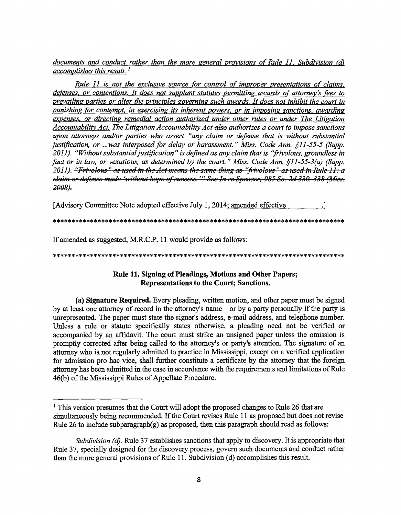documents and conduct rather than the more general provisions of Rule 11. Subdivision (d) accomplishes this result.  $^{1}$ 

Rule 11 is not the exclusive source for control of improper presentations of claims, defenses, or contentions. It does not supplant statutes permitting awards of attorney's fees to prevailing parties or alter the principles governing such awards. It does not inhibit the court in punishing for contempt, in exercising its inherent powers, or in imposing sanctions, awarding expenses, or directing remedial action authorized under other rules or under The Litigation Accountability Act. The Litigation Accountability Act also authorizes a court to impose sanctions upon attorneys and/or parties who assert "any claim or defense that is without substantial justification, or ...was interposed for delay or harassment." Miss. Code Ann. §11-55-5 (Supp. 2011). "Without substantial justification" is defined as any claim that is "frivolous, groundless in fact or in law, or vexatious, as determined by the court." Miss. Code Ann.  $$11-55-3(a)$  (Supp. 2011). "Frivolous" as used in the Act means the same thing as "frivolous" as used in Rule 11: a claim or defense made 'without hope of success.'" See In re Spencer, 985 So. 2d 330, 338 (Miss.  $2008.$ 

[Advisory Committee Note adopted effective July 1, 2014; amended effective  $\Box$ 

#### 

If amended as suggested, M.R.C.P. 11 would provide as follows:

# Rule 11. Signing of Pleadings, Motions and Other Papers; **Representations to the Court: Sanctions.**

(a) Signature Required. Every pleading, written motion, and other paper must be signed by at least one attorney of record in the attorney's name—or by a party personally if the party is unrepresented. The paper must state the signer's address, e-mail address, and telephone number. Unless a rule or statute specifically states otherwise, a pleading need not be verified or accompanied by an affidavit. The court must strike an unsigned paper unless the omission is promptly corrected after being called to the attorney's or party's attention. The signature of an attorney who is not regularly admitted to practice in Mississippi, except on a verified application for admission pro hac vice, shall further constitute a certificate by the attorney that the foreign attorney has been admitted in the case in accordance with the requirements and limitations of Rule 46(b) of the Mississippi Rules of Appellate Procedure.

<sup>&</sup>lt;sup>1</sup> This version presumes that the Court will adopt the proposed changes to Rule 26 that are simultaneously being recommended. If the Court revises Rule 11 as proposed but does not revise Rule 26 to include subparagraph(g) as proposed, then this paragraph should read as follows:

Subdivision (d). Rule 37 establishes sanctions that apply to discovery. It is appropriate that Rule 37, specially designed for the discovery process, govern such documents and conduct rather than the more general provisions of Rule 11. Subdivision (d) accomplishes this result.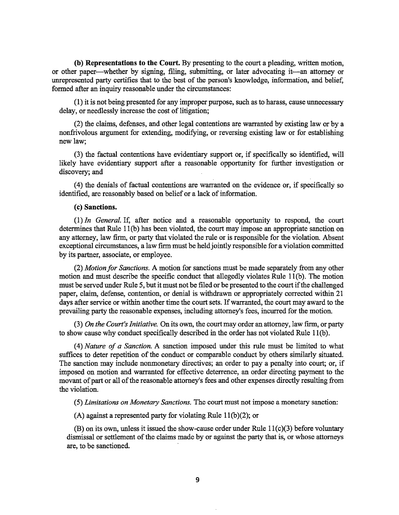**(b) Representations to the Court.** By presenting to the court a pleading, written motion, or other paper—whether by signing, filing, submitting, or later advocating it—an attorney or unrepresented party certifies that to the best of the person's knowledge, information, and belief, formed after an inquiry reasonable under the circumstances:

 $(1)$  it is not being presented for any improper purpose, such as to harass, cause unnecessary delay, or needlessly increase the cost of litigation;

(2) the claims, defenses, and other legal contentions are warranted by existing law or by a nonfrivolous argument for extending, modifying, or reversing existing law or for establishing new law;

(3) the factual contentions have evidentiary support or, if specifically so identified, will likely have evidentiary support after a reasonable opportunity for further investigation or discovery; and

( 4) the denials of factual contentions are warranted on the evidence or, if specifically so identified, are reasonably based on belief or a lack of information.

### **(c) Sanctions.**

(1) *In General.* If, after notice and a reasonable opportunity to respond, the court determines that Rule 11 (b) has been violated, the court may impose an appropriate sanction on any attorney, law firm, or party that violated the rule or is responsible for the violation. Absent exceptional circumstances, a law firm must be held jointly responsible for a violation committed by its partner, associate, or employee.

(2) *Motion for Sanctions.* A motion for sanctions must be made separately from any other motion and must describe the specific conduct that allegedly violates Rule  $11(b)$ . The motion must be served under Rule 5, but it must not be filed or be presented to the court if the challenged paper, claim, defense, contention, or denial is withdrawn or appropriately corrected within 21 days after service or within another time the court sets. If warranted, the court may award to the prevailing party the reasonable expenses, including attorney's fees, incurred for the motion.

(3) *On the Court's Initiative.* On its own, the court may order an attorney, law firm, or party to show cause why conduct specifically described in the order has not violated Rule 11 (b).

(4) *Nature of a Sanction.* A sanction imposed under this rule must be limited to what suffices to deter repetition of the conduct or comparable conduct by others similarly situated. The sanction may include nonmonetary directives; an order to pay a penalty into court; or, if imposed on motjon and warranted for effective deterrence, an order directing payment to the movant of part or all of the reasonable attorney's fees and other expenses directly resulting from the violation.

(5) *Limitations on Monetary Sanctions.* The court must not impose a monetary sanction:

 $(A)$  against a represented party for violating Rule 11 $(b)(2)$ ; or

(B) on its own, unless it issued the show-cause order under Rule  $11(c)(3)$  before voluntary dismissal or settlement of the claims made by or against the party that is, or whose attorneys are, to be sanctioned.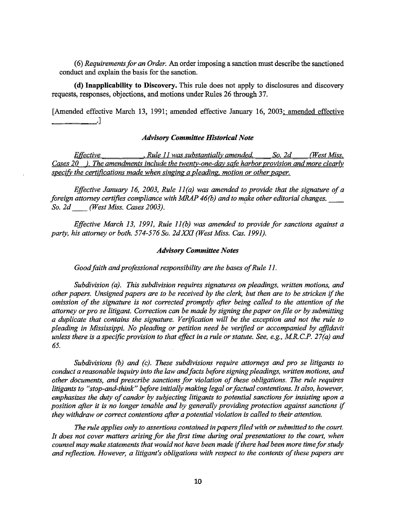( 6) *Requirements for an Order.* An order imposing a sanction must describe the sanctioned conduct and explain the basis for the sanction.

**(d) Inapplicability to Discovery.** This rule does not apply to disclosures and discovery requests, responses, objections, and motions under Rules 26 through 37.

[Amended effective March 13, 1991; amended effective January 16, 2003; amended effective ~<br><del>- - - - - - - - - -</del> - <sup>-</sup> - <sup>-</sup>

### *Advisory Committee Historical Note*

*Effective* • *Rule 11 was substantially amended. So. 2d (West Miss. Cases 20 ). The amendments include the twenty-one-day safe harbor provision and more clearly specify the certifications made when singing a pleading. motion or other paper.* 

*Effective January 16, 2003, Rule 11(a) was amended to provide that the signature of a foreign attorney certifies compliance with MRAP 46(b) and to make other editorial changes.* \_\_ *So. 2d \_\_ (West Miss. Cases 2003).* '

*Effective March 13, 1991, Rule ll(b) was amended to provide for sanctions against a party, his attorney or both. 574-576 So. 2dXXI (West Miss. Cas. 1991).* 

#### *Advisory Committee Notes*

*Good faith and professional responsibility are the bases of Rule 11.* 

*Subdivision (a). This subdivision requires signatures on pleadings, written motions, and other papers. Unsigned papers are to be received by the clerk, but then are to be stricken if the omission of the signature is not corrected promptly after being called to the attention of the attorney or pro se litigant. Correction can be made by signing the paper on file or by submitting a duplicate that contains the signature. Verification will be the exception and not the rule to*  pleading in Mississippi. No pleading or petition need be verified or accompanied by affidavit *unless there is a specific provision to that effect in a rule or statute. See, e.g., M.R.C.P. 27(a) and 65.* 

*Subdivisions (b) and (c). These subdivisions require attorneys and pro se litigants to*  conduct a reasonable inquiry into the law and facts before signing pleadings, written motions, and *other documents, and prescribe sanctions for violation of these obligations. The rule requires litigants to "stop-and-think" before initially making legal or factual contentions. It also, however, emphasizes the duty of candor by subjecting litigants to potential sanctions for insisting upon a position after it is no longer tenable and by generally providing protection against sanctions* if *they withdraw or correct contentions after a potential violation is called to their attention.* 

*The rule applies only to assertions contained in papers filed with or submitted to the court. It does not cover matters arising for the first time during oral presentations to the court, when counsel may make statements that would not have been made* if *there had been more time for study and reflection. However, a litigant's obligations with respect to the contents of these papers are*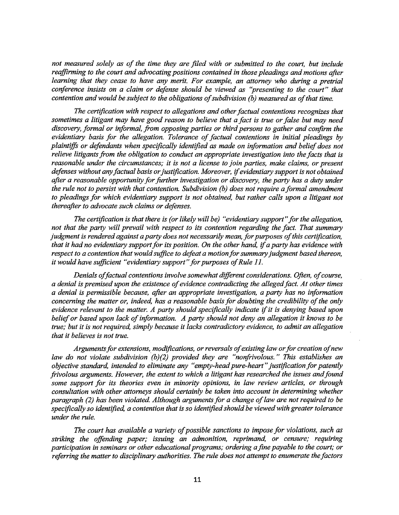*not measured solely as of the time they are filed with or submitted to the court, but include reaffirming to the court and advocating positions contained in those pleadings and motions after learning that they cease to have any merit. For example, an attorney who during a pretrial conference insists on a claim or defense should be viewed as ''presenting to the court" that contention and would be subject to the obligations of subdivision (b) measured as of that time.* 

*The certification with respect to allegations and other factual contentions recognizes that sometimes a litigant may have good reason to believe that a fact is true or false but may need discovery, formal or informal, from opposing parties or third persons to gather and confirm the evidentiary basis for the allegation. Tolerance of factual contentions in initial pleadings by plaintiffs or defendants when .specifically identified as made on information and belief does not relieve litigants from the obligation to conduct an appropriate investigation into the facts that is reasonable under the circumstances; it is not a license to join parties, make claims, or present defenses without any factual basis or justification. Moreover, if evidentiary support is not obtained after a reasonable opportunity for further investigation or discovery, the party has a duty under the rule not to persist with that contention. Subdivision (b) does not require a formal amendment to pleadings for which evidentiary support is not obtained, but rather calls upon a litigant not thereafter to advocate such claims or defenses.* 

*The certification is that there is (or likely will be) "evidentiary support" for the allegation, not that the party will prevail with respect to its contention regarding the fact. That summary judgment is rendered against a party does not necessarily mean, for purposes of this certification, that it had no evidentiary support for its position. On the other hand, if a party has evidence with respect to a contention that would suffice to defeat a motion for summary judgment based thereon, it would have sufficient "evidentiary support" for purposes of Rule 11.* 

*Denials of factual contentions involve somewhat different considerations. Often, of course, a denial is premised upon the existence of evidence contradicting the alleged fact. At other times a denial is permissible because, after an appropriate investigation, a party has no information concerning the matter or, indeed, has a reasonable basis for doubting the credibility of the only evidence relevant to the matter. A party should specifically indicate if·it is denying based upon belief or based upon lack of information. A party should not deny an allegation it knows to be true; but it is not required, simply because it lacks contradictory evidence, to admit an allegation that it believes is not true.* 

*Argumentsfor extensions, modifications, or reversals of existing law or for creation of new law do not violate subdivision ·(b)(2) provided they are "nonfrivolous." This establishes an objective standard, intended to eliminate any "empty-head pure-heart" justification for patently frivolous arguments. However, the extent to which a litigant has researched the issues and found some support for its theories even in minority opinions, in law review articles, or through consultation with other attorneys should certainly be taken into account in determining whether paragraph (2) has been violated. Although arguments for a change of law are not required to be specifically so identified, a contention that is so identified should be viewed with greater tolerance under the rule.* 

*The court has available a variety of possible sanctions to impose for violations, such as striking the offending paper; issuing an admonition, reprimand, or censure; requiring participation in seminars or other educational programs; ordering a fine payable to the court; or referring the matter to disciplinary authorities. The rule does not attempt to enumerate the factors*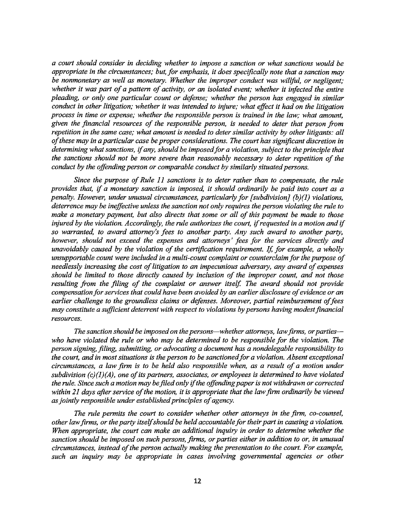*a court should consider in deciding whether to impose a sanction or what sanctions would be appropriate in the circumstances; but, for emphasis, it does specifically note that a sanction may be nonmonetary as well as monetary. Whether the improper conduct was willful, or negligent;*  whether it was part of a pattern of activity, or an isolated event; whether it infected the entire *pleading, or only one particular count or defense; whether the person has engaged in similar conduct in other litigation; whether it was intended to injure; what effect it had on the litigation process in time or expense; whether the responsible person is trained in the law; what amount, given the financial resources of the responsible person, is needed to deter that person from repetition in the same case; what amount is needed to deter similar activity by other litigants: all of these may in a particular case be proper considerations. The court has significant discretion in determining what sanctions,* if *any, should be imposed for a violation, subject to the principle that the sanctions should not be more severe than reasonably necessary to deter repetition of the conduct by the offending person or comparable conduct by similarly situated persons.* 

*Since the purpose of Rule 11 sanctions is to deter rather than to compensate, the rule provides that,* if *a monetary sanction is imposed, it should ordinarily be paid into court as a penalty. However, under unusual circumstances, particularly for [subdivision] (b)(l) violations, deterrence may be ineffective unless the sanction not only requires the person violating the rule to make a monetary payment, but also directs that some or all of this payment be made to those injured by the violation. Accordingly, the rule authorizes the court,* if *requested in a motion and* if *so warranted, to award attorney's fees to another party. Any such award to another party, however, should not exceed the expenses and attorneys' fees for the services directly and unavoidably caused by the violation of the certification requirement. If, for example, a wholly unsupportable count were included in a multi-count complaint or counterclaim for the purpose of needlessly increasing the cost of litigation to an impecunious adversary, any award of expenses should be limited to those directly caused by inclusion of the improper count, and not those*  resulting from the filing of the complaint or answer itself. The award should not provide *compensation for services that could have been avoided by an earlier disclosure of evidence or an earlier challenge to the groundless claims or defenses. Moreover, partial reimbursement of fees may constitute a sufficient deterrent with respect to violations by persons having modest financial resources.* 

The sanction should be imposed on the persons—whether attorneys, law firms, or parties *who have violated the rule or who may be determined to be responsible for the violation. The person signing, filing, submitting, or advocating a document has a nondelegable responsibility to the court, and in most situations is the person to be sanctioned for a violation. Absent exceptional circumstances, a law firm is to be held also responsible when, as a result of a motion under subdivision (c)(l)(A), one of its partners, associates, or employees is determined to have violated the rule. Since such a motion may be filed only* if *the offending paper is not withdrawn or corrected within 21 days after service of the motion, it is appropriate that the law firm ordinarily be viewed as jointly responsible under established principles of agency.* 

*The rule permits the court to consider whether other attorneys in the firm, co-counsel, other law firms, or the party itself should be held accountable for their part in causing a violation. When appropriate, the court can make an additional inquiry in order to determine whether the sanction should be imposed on such persons, firms, or parties either in addition to or, in unusual circumstances, instead of the person actually making the presentation to the court. For example, such an inquiry may be appropriate in cases involving governmental agencies or other*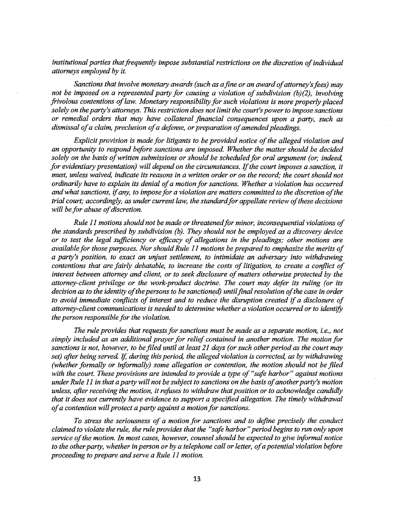*institutional parties that frequently impose substantial restrictions on the discretion of individual attorneys employed by it.* 

*Sanctions that involve monetary awards (such as a fine or an award.of attorney's fees) may not be imposed on a represented party for causing a violation of subdivision (b)(2), involving frivolous contentions of law. Monetary responsibility for such violations is more properly placed solely on the patty's attorneys. This restriction does not limit the court's power to impose sanctions or remedial orders that may have collateral financial consequences upon a party, such as dismissal of a claim, preclusion of a defense, or preparation of amended pleadings.* 

*Explicit provision is made for litigants to be provided notice of the alleged violation and an opportunity to respond before sanctions are imposed. Whether the matter should be decided solely on the basis of written submissions or should be scheduled for oral argument (or, indeed,*  for evidentiary presentation) will depend on the circumstances. If the court imposes a sanction, it *must, unless waived, indicate its reasons in a written order or on the record; the court should not ordinarily have to explain its denial of a motion for sanctions. Whether a violation has occurred and what sanctions,* if *any, to impose for a violation are matters committed to the discretion of the trial court; accordingly, as under current law, the standard for appellate review of these decisions will be for abuse of discretion.* 

*Rule 11 motions should not be made or threatened for minor, inconsequential violations of the standards prescribed by subdivision (b). They should not be employed as a discovery device or to test the legal sufficiency or efficacy of allegations in the pleadings; other motions are available for those purposes. Nor should Rule 11 motions be prepared to emphasize the merits of a party's position, to exact an unjust settlement, to intimidate an adversary into withdrawing contentions that are fairly debatable, to increase the costs of litigation, to create a conflict of interest between attorney and client, or to seek disclosure of matters otherwise protected by the attorney-client privilege or the work-product doctrine. The court may defer its ruling (or its decision as to the identity of the persons to be sanctioned) until final resolution of the case in order to avoid immediate conflicts of interest and to reduce the disruption created* if *a disclosure of attorney-client communications is needed to determine whether a violation occurred or to identify the person responsible for the violation.* 

*The rule provides that requests for sanctions must be made as a separate motion, i.e., not simply included as an additional prayer for relief contained in another motion. The motion for sanctions is not, however, to be filed until at least 21 days (or such other period as the court may set) after being served If, during this period, the alleged violation is corrected, as by withdrawing (whether formally or informally) some allegation or contention, the motion should not be filed with the court. These provisions are intended to provide a type of "safe harbor" against motions under Rule 11 in that a party will not be subject to sanctions on the basis of another party's motion unless, after receiving the motion, it refuses to withdraw that position or to acknowledge candidly that it does not currently have evidence to support a specified allegation. The timely withdrawal of a contention will protect a party against a motion for sanctions.* 

*To stress the seriousness of a motion for sanctions and to define precisely the conduct claimed to violate the rule, the rule provides that the "safe harbor" period begins to run only upon service of the motion. In most cases, however, counsel should be expected to give informal notice to the other party, whether in person or by a telephone call or letter, of a potential violation before proceeding to prepare and serve a Rule 11 motion.*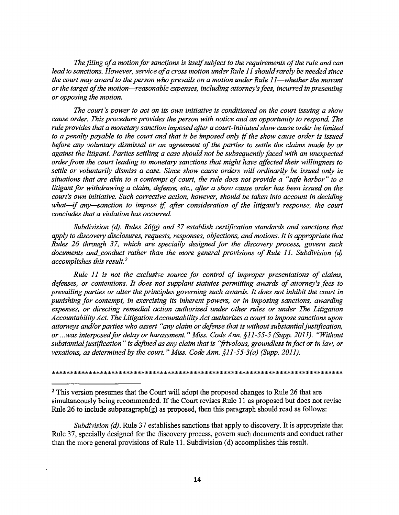*The filing of a motion for sanctions is itself subject to the requirements of the rule and can lead to sanctions. However, service of a cross motion under Rule 11 should rarely be needed since the court may award to the person who prevails on a motion under Rule 11—whether the movant* or the target of the motion-reasonable expenses, including attorney's fees, incurred in presenting *or opposing the motion.* 

*The court's power to act on its own initiative is conditioned on the court issuing a show cause order. This procedure provides the person with notice and an opportunity to respond. The rule provides that a monetary sanction imposed after a court-initiated show cause order be limited to a penalty payable to the court and that it be imposed only if the show .cause order is issued before any voluntary dismissal or an agreement of the parties to settle the claims made by or against the litigant. Parties settling a case should not be subsequently faced with an unexpected order from the court leading to monetary sanctions that might have affected their willingness to settle or voluntarily dismiss a case. Since show cause orders will ordinarily be issued only in situations that are akin to a contempt of court, the rule does not provide a "safe harbor" to a litigant for withdrawing a claim, defense, etc., after a show cause order has been issued on the court's own initiative. Such corrective action, however, should be taken into account in deciding what-if any-sanction to impose* if, *after consideration of the litigant's response, the court concludes that a violation has occurred.* 

*Subdivision (d). Rules 26(g) and 37 establish certification standards and sanctions that apply to discovery disclosures, requests, responses, objections, and motions. It is appropriate that Rules 26 through 37; which are specially designed for the discovery process, govern such*  documents and conduct rather than the more general provisions of Rule 11. Subdivision (d) *accomplishes this result.* <sup>2</sup>

*Rule 11 is not the exclusive source for control of improper presentations of claims, defenses, or contentions. It does not supplant statutes permitting awards of attorney's fees to prevailing parties or alter the principles governing such awards. It does not inhibit the court in punishing for contempt, in exercising its inherent powers, or in imposing sanctions, awarding expenses, or directing remedial action authorized under other rules or under The Litigation Accountability Act. The Litigation Accountability Act authorizes a court to impose sanctions upon attorneys and/or parties who assert "any claim or defense that is without substantial justification, or ... was interposed for delay or harassment." Miss. Code Ann. §11-55-5 (Supp. 2011). "Without substantial justification" is defined as any claim that is "frivolous, groundless in fact or in law, or vexatious, as determined by the court." Miss. Code Ann. §11-55-3(a) (Supp. 2011).* 

\*\*\*\*\*\*\*\*\*\*\*\*\*\*\*\*\*\*\*\*\*\*\*\*\*\*\*\*\*\*\*\*\*\*\*\*\*\*\*\*\*\*\*\*\*\*\*\*\*\*\*\*\*\*\*\*\*\*\*\*\*\*\*\*\*\*\*\*\*\*\*\*\*\*\*\*\*\*

<sup>&</sup>lt;sup>2</sup> This version presumes that the Court will adopt the proposed changes to Rule 26 that are simultaneously being recommended. If the Court revises Rule 11 as proposed but does not revise Rule 26 to include subparagraph(g) as proposed, then this paragraph should read as follows:

*Subdivision (d).* Rule 37 establishes sanctions that apply to discovery. It is appropriate that Rule 37, specially designed for the discovery process, govern such documents and conduct rather than the more general provisions of Rule 11. Subdivision (d) accomplishes this result.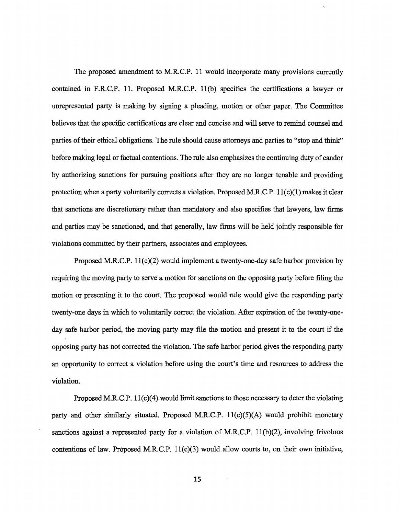The proposed amendment to M.R.C.P. 11 would incorporate many provisions currently contained in F.R.C.P. 11. Proposed M.R.C.P. ll(b) specifies the certifications a lawyer or unrepresented party is making by signing a pleading, motion or other paper. The Committee believes that the specific certifications are clear and concise and will serve to remind counsel and parties of their ethical obligations. The rule should cause attorneys and parties to "stop and think" before making legal or factual contentions. The rule also emphasizes the continuing duty of candor by authorizing sanctions for pursuing positions after they are no longer tenable and providing protection when a party voluntarily corrects a violation. Proposed M.R.C.P.  $11(c)(1)$  makes it clear that sanctions are discretionary rather than mandatory and also specifies that lawyers, law firms and parties may be sanctioned, and that generally, law firms will be held jointly responsible for violations committed by their partners, associates and employees.

Proposed M.R.C.P.  $11(c)(2)$  would implement a twenty-one-day safe harbor provision by requiring the moving party to serve a motion for sanctions on the opposing party before filing the motion or presenting it to the court. The proposed would rule would give the responding party twenty-one days in which to voluntarily correct the violation. After expiration of the twenty-oneday safe harbor period, the moving party may file the motion and present it to the court if the opposing party has not corrected the violation. The safe harbor period gives the responding party an opportunity to correct a violation before using the court's time and resources to address the violation.

Proposed M.R.C.P.  $11(c)(4)$  would limit sanctions to those necessary to deter the violating party and other similarly situated. Proposed M.R.C.P.  $11(c)(5)(A)$  would prohibit monetary sanctions against a represented party for a violation of M.R.C.P.  $11(b)(2)$ , involving frivolous contentions of law. Proposed M.R.C.P. ll(c)(3) would allow courts to, on their own initiative,

**15**